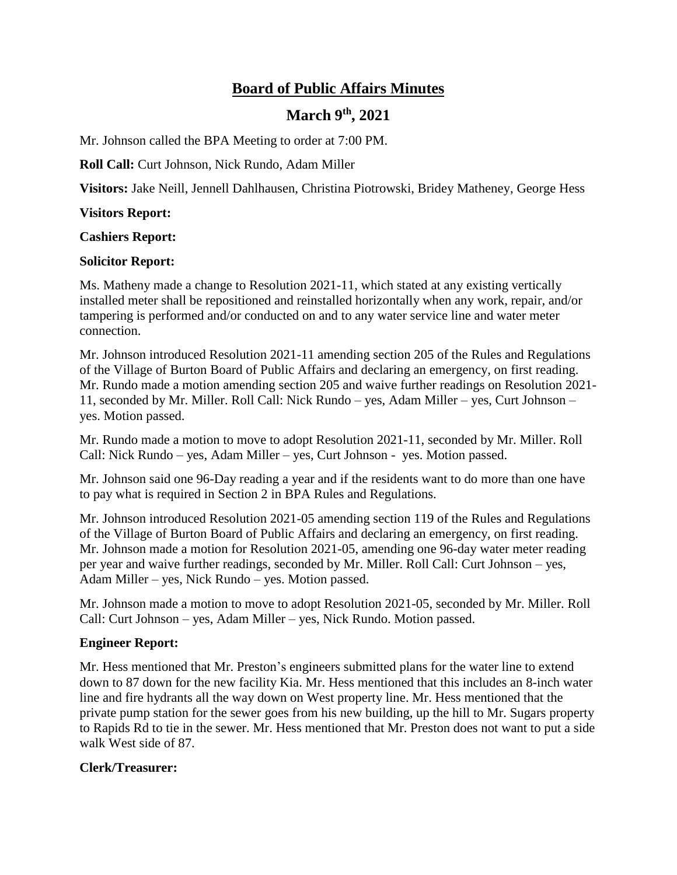# **Board of Public Affairs Minutes**

# **March 9 th, 2021**

Mr. Johnson called the BPA Meeting to order at 7:00 PM.

**Roll Call:** Curt Johnson, Nick Rundo, Adam Miller

**Visitors:** Jake Neill, Jennell Dahlhausen, Christina Piotrowski, Bridey Matheney, George Hess

#### **Visitors Report:**

**Cashiers Report:**

#### **Solicitor Report:**

Ms. Matheny made a change to Resolution 2021-11, which stated at any existing vertically installed meter shall be repositioned and reinstalled horizontally when any work, repair, and/or tampering is performed and/or conducted on and to any water service line and water meter connection.

Mr. Johnson introduced Resolution 2021-11 amending section 205 of the Rules and Regulations of the Village of Burton Board of Public Affairs and declaring an emergency, on first reading. Mr. Rundo made a motion amending section 205 and waive further readings on Resolution 2021- 11, seconded by Mr. Miller. Roll Call: Nick Rundo – yes, Adam Miller – yes, Curt Johnson – yes. Motion passed.

Mr. Rundo made a motion to move to adopt Resolution 2021-11, seconded by Mr. Miller. Roll Call: Nick Rundo – yes, Adam Miller – yes, Curt Johnson - yes. Motion passed.

Mr. Johnson said one 96-Day reading a year and if the residents want to do more than one have to pay what is required in Section 2 in BPA Rules and Regulations.

Mr. Johnson introduced Resolution 2021-05 amending section 119 of the Rules and Regulations of the Village of Burton Board of Public Affairs and declaring an emergency, on first reading. Mr. Johnson made a motion for Resolution 2021-05, amending one 96-day water meter reading per year and waive further readings, seconded by Mr. Miller. Roll Call: Curt Johnson – yes, Adam Miller – yes, Nick Rundo – yes. Motion passed.

Mr. Johnson made a motion to move to adopt Resolution 2021-05, seconded by Mr. Miller. Roll Call: Curt Johnson – yes, Adam Miller – yes, Nick Rundo. Motion passed.

## **Engineer Report:**

Mr. Hess mentioned that Mr. Preston's engineers submitted plans for the water line to extend down to 87 down for the new facility Kia. Mr. Hess mentioned that this includes an 8-inch water line and fire hydrants all the way down on West property line. Mr. Hess mentioned that the private pump station for the sewer goes from his new building, up the hill to Mr. Sugars property to Rapids Rd to tie in the sewer. Mr. Hess mentioned that Mr. Preston does not want to put a side walk West side of 87.

## **Clerk/Treasurer:**